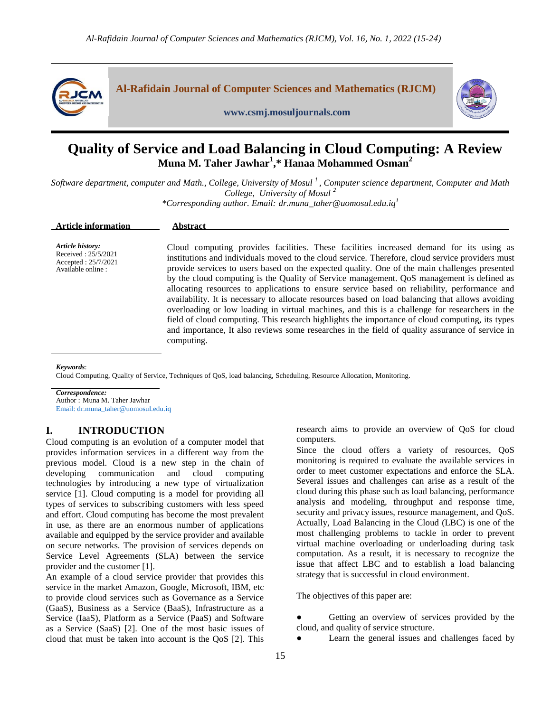

# **Quality of Service and Load Balancing in Cloud Computing: A Review Muna M. Taher Jawhar<sup>1</sup> ,\* Hanaa Mohammed Osman<sup>2</sup>**

Software department, computer and Math., College, University of Mosul<sup>1</sup>, Computer science department, Computer and Math *College, University of Mosul <sup>2</sup>*

*\*Corresponding author. Email: dr.muna\_taher@uomosul.edu.iq<sup>1</sup>*

| <b>Article information</b>                                                           | Abstract                                                                                                                                                                                                                                                                                                                                                                                                                                                                                                                                                                                                                                                                                                                                                                                                                                                                                                            |
|--------------------------------------------------------------------------------------|---------------------------------------------------------------------------------------------------------------------------------------------------------------------------------------------------------------------------------------------------------------------------------------------------------------------------------------------------------------------------------------------------------------------------------------------------------------------------------------------------------------------------------------------------------------------------------------------------------------------------------------------------------------------------------------------------------------------------------------------------------------------------------------------------------------------------------------------------------------------------------------------------------------------|
| Article history:<br>Received: 25/5/2021<br>Accepted: 25/7/2021<br>Available online : | Cloud computing provides facilities. These facilities increased demand for its using as<br>institutions and individuals moved to the cloud service. Therefore, cloud service providers must<br>provide services to users based on the expected quality. One of the main challenges presented<br>by the cloud computing is the Quality of Service management. QoS management is defined as<br>allocating resources to applications to ensure service based on reliability, performance and<br>availability. It is necessary to allocate resources based on load balancing that allows avoiding<br>overloading or low loading in virtual machines, and this is a challenge for researchers in the<br>field of cloud computing. This research highlights the importance of cloud computing, its types<br>and importance, It also reviews some researches in the field of quality assurance of service in<br>computing. |

*Keywords*:

Cloud Computing, Quality of Service, Techniques of QoS, load balancing, Scheduling, Resource Allocation, Monitoring.

*Correspondence:* Author : Muna M. Taher Jawhar Email: dr.muna\_taher@uomosul.edu.iq

# **I. INTRODUCTION**

Cloud computing is an evolution of a computer model that provides information services in a different way from the previous model. Cloud is a new step in the chain of developing communication and cloud computing technologies by introducing a new type of virtualization service [1]. Cloud computing is a model for providing all types of services to subscribing customers with less speed and effort. Cloud computing has become the most prevalent in use, as there are an enormous number of applications available and equipped by the service provider and available on secure networks. The provision of services depends on Service Level Agreements (SLA) between the service provider and the customer [1].

An example of a cloud service provider that provides this service in the market Amazon, Google, Microsoft, IBM, etc to provide cloud services such as Governance as a Service (GaaS), Business as a Service (BaaS), Infrastructure as a Service (IaaS), Platform as a Service (PaaS) and Software as a Service (SaaS) [2]. One of the most basic issues of cloud that must be taken into account is the QoS [2]. This research aims to provide an overview of QoS for cloud computers.

Since the cloud offers a variety of resources, QoS monitoring is required to evaluate the available services in order to meet customer expectations and enforce the SLA. Several issues and challenges can arise as a result of the cloud during this phase such as load balancing, performance analysis and modeling, throughput and response time, security and privacy issues, resource management, and QoS. Actually, Load Balancing in the Cloud (LBC) is one of the most challenging problems to tackle in order to prevent virtual machine overloading or underloading during task computation. As a result, it is necessary to recognize the issue that affect LBC and to establish a load balancing strategy that is successful in cloud environment.

The objectives of this paper are:

- Getting an overview of services provided by the cloud, and quality of service structure.
	- Learn the general issues and challenges faced by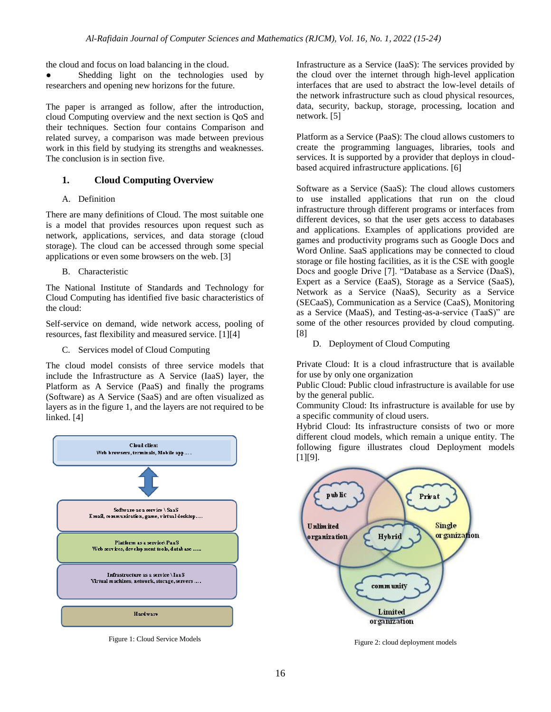the cloud and focus on load balancing in the cloud.

Shedding light on the technologies used by researchers and opening new horizons for the future.

The paper is arranged as follow, after the introduction, cloud Computing overview and the next section is QoS and their techniques. Section four contains Comparison and related survey, a comparison was made between previous work in this field by studying its strengths and weaknesses. The conclusion is in section five.

# **1. Cloud Computing Overview**

A. Definition

There are many definitions of Cloud. The most suitable one is a model that provides resources upon request such as network, applications, services, and data storage (cloud storage). The cloud can be accessed through some special applications or even some browsers on the web. [3]

B. Characteristic

The National Institute of Standards and Technology for Cloud Computing has identified five basic characteristics of the cloud:

Self-service on demand, wide network access, pooling of resources, fast flexibility and measured service. [1][4]

C. Services model of Cloud Computing

The cloud model consists of three service models that include the Infrastructure as A Service (IaaS) layer, the Platform as A Service (PaaS) and finally the programs (Software) as A Service (SaaS) and are often visualized as layers as in the figure 1, and the layers are not required to be linked. [4]



Figure 1: Cloud Service Models

Infrastructure as a Service (IaaS): The services provided by the cloud over the internet through high-level application interfaces that are used to abstract the low-level details of the network infrastructure such as cloud physical resources, data, security, backup, storage, processing, location and network. [5]

Platform as a Service (PaaS): The cloud allows customers to create the programming languages, libraries, tools and services. It is supported by a provider that deploys in cloudbased acquired infrastructure applications. [6]

Software as a Service (SaaS): The cloud allows customers to use installed applications that run on the cloud infrastructure through different programs or interfaces from different devices, so that the user gets access to databases and applications. Examples of applications provided are games and productivity programs such as Google Docs and Word Online. SaaS applications may be connected to cloud storage or file hosting facilities, as it is the CSE with google Docs and google Drive [7]. "Database as a Service (DaaS), Expert as a Service (EaaS), Storage as a Service (SaaS), Network as a Service (NaaS), Security as a Service (SECaaS), Communication as a Service (CaaS), Monitoring as a Service (MaaS), and Testing-as-a-service (TaaS)" are some of the other resources provided by cloud computing. [8]

D. Deployment of Cloud Computing

Private Cloud: It is a cloud infrastructure that is available for use by only one organization

Public Cloud: Public cloud infrastructure is available for use by the general public.

Community Cloud: Its infrastructure is available for use by a specific community of cloud users.

Hybrid Cloud: Its infrastructure consists of two or more different cloud models, which remain a unique entity. The following figure illustrates cloud Deployment models [1][9].



Figure 2: cloud deployment models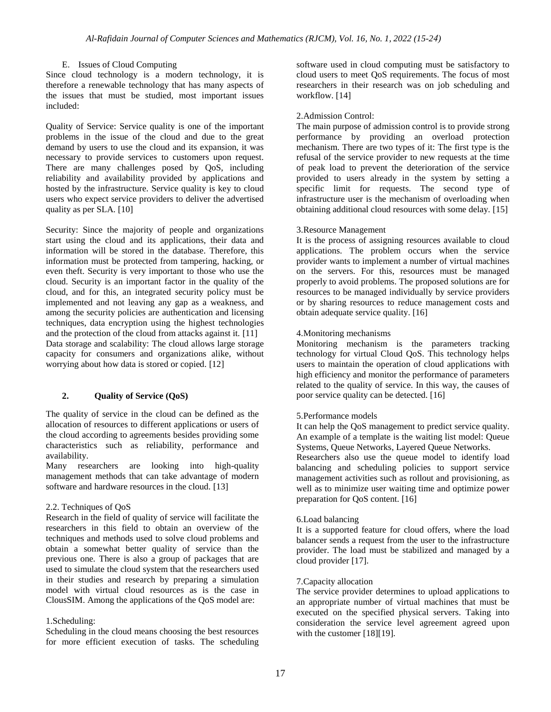# E. Issues of Cloud Computing

Since cloud technology is a modern technology, it is therefore a renewable technology that has many aspects of the issues that must be studied, most important issues included:

Quality of Service: Service quality is one of the important problems in the issue of the cloud and due to the great demand by users to use the cloud and its expansion, it was necessary to provide services to customers upon request. There are many challenges posed by QoS, including reliability and availability provided by applications and hosted by the infrastructure. Service quality is key to cloud users who expect service providers to deliver the advertised quality as per SLA. [10]

Security: Since the majority of people and organizations start using the cloud and its applications, their data and information will be stored in the database. Therefore, this information must be protected from tampering, hacking, or even theft. Security is very important to those who use the cloud. Security is an important factor in the quality of the cloud, and for this, an integrated security policy must be implemented and not leaving any gap as a weakness, and among the security policies are authentication and licensing techniques, data encryption using the highest technologies and the protection of the cloud from attacks against it. [11] Data storage and scalability: The cloud allows large storage capacity for consumers and organizations alike, without worrying about how data is stored or copied. [12]

# **2. Quality of Service (QoS)**

The quality of service in the cloud can be defined as the allocation of resources to different applications or users of the cloud according to agreements besides providing some characteristics such as reliability, performance and availability.

Many researchers are looking into high-quality management methods that can take advantage of modern software and hardware resources in the cloud. [13]

### 2.2. Techniques of QoS

Research in the field of quality of service will facilitate the researchers in this field to obtain an overview of the techniques and methods used to solve cloud problems and obtain a somewhat better quality of service than the previous one. There is also a group of packages that are used to simulate the cloud system that the researchers used in their studies and research by preparing a simulation model with virtual cloud resources as is the case in ClousSIM. Among the applications of the QoS model are:

### 1.Scheduling:

Scheduling in the cloud means choosing the best resources for more efficient execution of tasks. The scheduling software used in cloud computing must be satisfactory to cloud users to meet QoS requirements. The focus of most researchers in their research was on job scheduling and workflow. [14]

#### 2.Admission Control:

The main purpose of admission control is to provide strong performance by providing an overload protection mechanism. There are two types of it: The first type is the refusal of the service provider to new requests at the time of peak load to prevent the deterioration of the service provided to users already in the system by setting a specific limit for requests. The second type of infrastructure user is the mechanism of overloading when obtaining additional cloud resources with some delay. [15]

#### 3.Resource Management

It is the process of assigning resources available to cloud applications. The problem occurs when the service provider wants to implement a number of virtual machines on the servers. For this, resources must be managed properly to avoid problems. The proposed solutions are for resources to be managed individually by service providers or by sharing resources to reduce management costs and obtain adequate service quality. [16]

# 4.Monitoring mechanisms

Monitoring mechanism is the parameters tracking technology for virtual Cloud QoS. This technology helps users to maintain the operation of cloud applications with high efficiency and monitor the performance of parameters related to the quality of service. In this way, the causes of poor service quality can be detected. [16]

# 5.Performance models

It can help the QoS management to predict service quality. An example of a template is the waiting list model: Queue Systems, Queue Networks, Layered Queue Networks.

Researchers also use the queue model to identify load balancing and scheduling policies to support service management activities such as rollout and provisioning, as well as to minimize user waiting time and optimize power preparation for QoS content. [16]

#### 6.Load balancing

It is a supported feature for cloud offers, where the load balancer sends a request from the user to the infrastructure provider. The load must be stabilized and managed by a cloud provider [17].

#### 7.Capacity allocation

The service provider determines to upload applications to an appropriate number of virtual machines that must be executed on the specified physical servers. Taking into consideration the service level agreement agreed upon with the customer [18][19].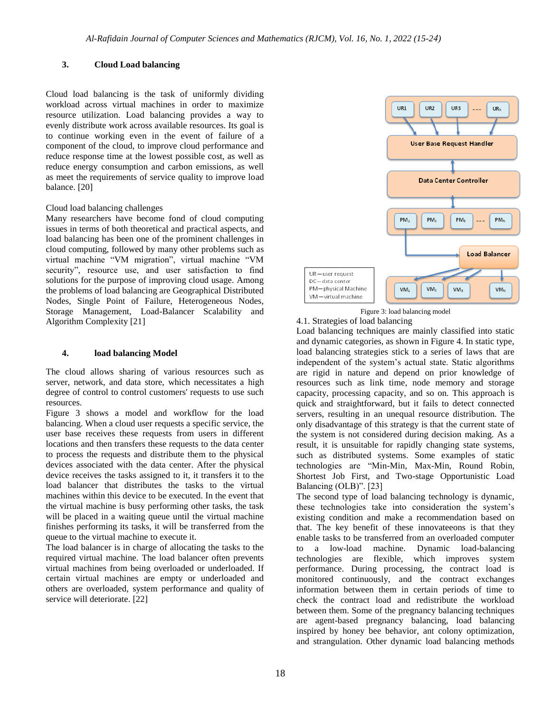# **3. Cloud Load balancing**

Cloud load balancing is the task of uniformly dividing workload across virtual machines in order to maximize resource utilization. Load balancing provides a way to evenly distribute work across available resources. Its goal is to continue working even in the event of failure of a component of the cloud, to improve cloud performance and reduce response time at the lowest possible cost, as well as reduce energy consumption and carbon emissions, as well as meet the requirements of service quality to improve load balance. [20]

## Cloud load balancing challenges

Many researchers have become fond of cloud computing issues in terms of both theoretical and practical aspects, and load balancing has been one of the prominent challenges in cloud computing, followed by many other problems such as virtual machine "VM migration", virtual machine "VM security", resource use, and user satisfaction to find solutions for the purpose of improving cloud usage. Among the problems of load balancing are Geographical Distributed Nodes, Single Point of Failure, Heterogeneous Nodes, Storage Management, Load-Balancer Scalability and Algorithm Complexity [21]

# **4. load balancing Model**

The cloud allows sharing of various resources such as server, network, and data store, which necessitates a high degree of control to control customers' requests to use such resources.

Figure 3 shows a model and workflow for the load balancing. When a cloud user requests a specific service, the user base receives these requests from users in different locations and then transfers these requests to the data center to process the requests and distribute them to the physical devices associated with the data center. After the physical device receives the tasks assigned to it, it transfers it to the load balancer that distributes the tasks to the virtual machines within this device to be executed. In the event that the virtual machine is busy performing other tasks, the task will be placed in a waiting queue until the virtual machine finishes performing its tasks, it will be transferred from the queue to the virtual machine to execute it.

The load balancer is in charge of allocating the tasks to the required virtual machine. The load balancer often prevents virtual machines from being overloaded or underloaded. If certain virtual machines are empty or underloaded and others are overloaded, system performance and quality of service will deteriorate. [22]



Figure 3: load balancing model 4.1. Strategies of load balancing

Load balancing techniques are mainly classified into static and dynamic categories, as shown in Figure 4. In static type, load balancing strategies stick to a series of laws that are independent of the system's actual state. Static algorithms are rigid in nature and depend on prior knowledge of resources such as link time, node memory and storage capacity, processing capacity, and so on. This approach is quick and straightforward, but it fails to detect connected servers, resulting in an unequal resource distribution. The only disadvantage of this strategy is that the current state of the system is not considered during decision making. As a result, it is unsuitable for rapidly changing state systems, such as distributed systems. Some examples of static technologies are "Min-Min, Max-Min, Round Robin, Shortest Job First, and Two-stage Opportunistic Load Balancing (OLB)". [23]

The second type of load balancing technology is dynamic, these technologies take into consideration the system's existing condition and make a recommendation based on that. The key benefit of these innovateeons is that they enable tasks to be transferred from an overloaded computer to a low-load machine. Dynamic load-balancing technologies are flexible, which improves system performance. During processing, the contract load is monitored continuously, and the contract exchanges information between them in certain periods of time to check the contract load and redistribute the workload between them. Some of the pregnancy balancing techniques are agent-based pregnancy balancing, load balancing inspired by honey bee behavior, ant colony optimization, and strangulation. Other dynamic load balancing methods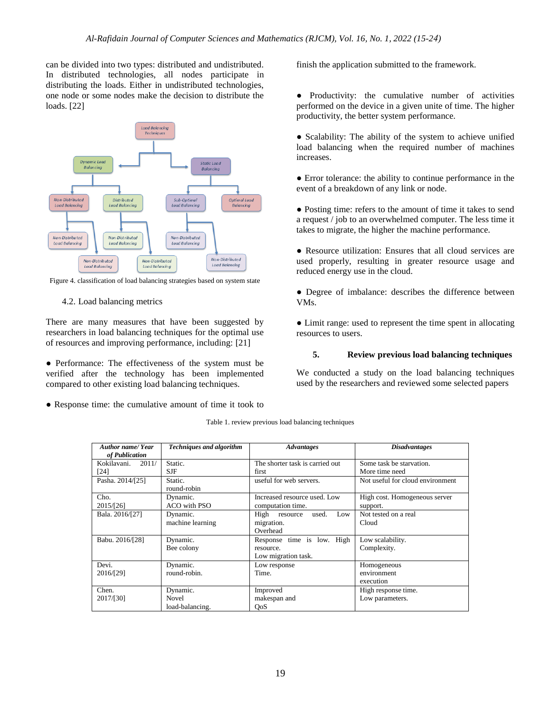can be divided into two types: distributed and undistributed. In distributed technologies, all nodes participate in distributing the loads. Either in undistributed technologies, one node or some nodes make the decision to distribute the loads. [22]



Figure 4. classification of load balancing strategies based on system state

4.2. Load balancing metrics

There are many measures that have been suggested by researchers in load balancing techniques for the optimal use of resources and improving performance, including: [21]

• Performance: The effectiveness of the system must be verified after the technology has been implemented compared to other existing load balancing techniques.

● Response time: the cumulative amount of time it took to

finish the application submitted to the framework.

- Productivity: the cumulative number of activities performed on the device in a given unite of time. The higher productivity, the better system performance.
- Scalability: The ability of the system to achieve unified load balancing when the required number of machines increases.

● Error tolerance: the ability to continue performance in the event of a breakdown of any link or node.

● Posting time: refers to the amount of time it takes to send a request / job to an overwhelmed computer. The less time it takes to migrate, the higher the machine performance.

• Resource utilization: Ensures that all cloud services are used properly, resulting in greater resource usage and reduced energy use in the cloud.

● Degree of imbalance: describes the difference between VMs.

• Limit range: used to represent the time spent in allocating resources to users.

# **5. Review previous load balancing techniques**

We conducted a study on the load balancing techniques used by the researchers and reviewed some selected papers

|  |  |  |  |  | Table 1. review previous load balancing techniques |
|--|--|--|--|--|----------------------------------------------------|
|--|--|--|--|--|----------------------------------------------------|

| <b>Author name/Year</b><br>of Publication | <b>Techniques and algorithm</b>             | <b>Advantages</b>                                              | <b>Disadvantages</b>                       |
|-------------------------------------------|---------------------------------------------|----------------------------------------------------------------|--------------------------------------------|
| Kokilavani. 2011/<br>[24]                 | Static.<br><b>SJF</b>                       | The shorter task is carried out<br>first                       | Some task be starvation.<br>More time need |
| Pasha. 2014/[25]                          | Static.<br>round-robin                      | useful for web servers.                                        | Not useful for cloud environment           |
| Cho.<br>2015/[26]                         | Dynamic.<br>ACO with PSO                    | Increased resource used. Low<br>computation time.              | High cost. Homogeneous server<br>support.  |
| Bala. 2016/[27]                           | Dynamic.<br>machine learning                | High resource<br>used.<br>Low<br>migration.<br>Overhead        | Not tested on a real<br>Cloud              |
| Babu. 2016/[28]                           | Dynamic.<br>Bee colony                      | Response time is low. High<br>resource.<br>Low migration task. | Low scalability.<br>Complexity.            |
| Devi.<br>2016/[29]                        | Dynamic.<br>round-robin.                    | Low response<br>Time.                                          | Homogeneous<br>environment<br>execution    |
| Chen.<br>2017/[30]                        | Dynamic.<br><b>Novel</b><br>load-balancing. | Improved<br>makespan and<br>OoS                                | High response time.<br>Low parameters.     |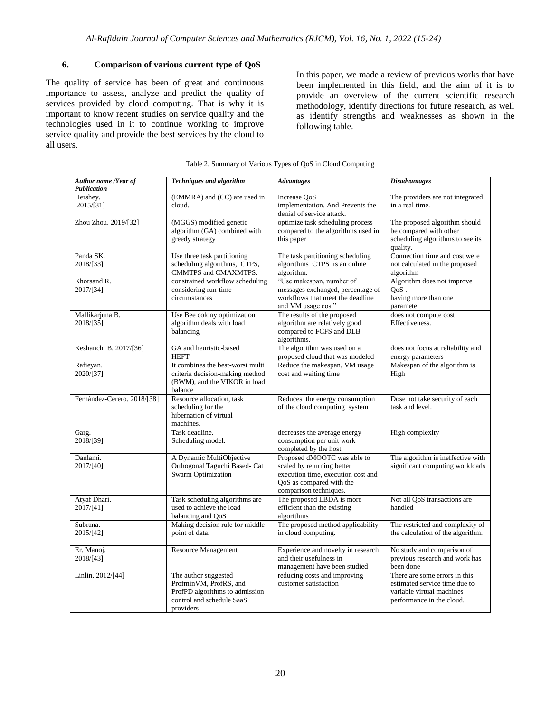# **6. Comparison of various current type of QoS**

The quality of service has been of great and continuous importance to assess, analyze and predict the quality of services provided by cloud computing. That is why it is important to know recent studies on service quality and the technologies used in it to continue working to improve service quality and provide the best services by the cloud to all users.

In this paper, we made a review of previous works that have been implemented in this field, and the aim of it is to provide an overview of the current scientific research methodology, identify directions for future research, as well as identify strengths and weaknesses as shown in the following table.

| Author name /Year of<br><b>Publication</b> | <b>Techniques and algorithm</b>                                                                                            | <b>Advantages</b>                                                                                                                                     | <b>Disadvantages</b>                                                                                                     |
|--------------------------------------------|----------------------------------------------------------------------------------------------------------------------------|-------------------------------------------------------------------------------------------------------------------------------------------------------|--------------------------------------------------------------------------------------------------------------------------|
| Hershey.<br>2015/[31]                      | (EMMRA) and (CC) are used in<br>cloud.                                                                                     | Increase OoS<br>implementation. And Prevents the<br>denial of service attack.                                                                         | The providers are not integrated<br>in a real time.                                                                      |
| Zhou Zhou. 2019/[32]                       | (MGGS) modified genetic<br>algorithm (GA) combined with<br>greedy strategy                                                 | optimize task scheduling process<br>compared to the algorithms used in<br>this paper                                                                  | The proposed algorithm should<br>be compared with other<br>scheduling algorithms to see its<br>quality.                  |
| Panda SK.<br>2018/[33]                     | Use three task partitioning<br>scheduling algorithms, CTPS,<br>CMMTPS and CMAXMTPS.                                        | The task partitioning scheduling<br>algorithms CTPS is an online<br>algorithm.                                                                        | Connection time and cost were<br>not calculated in the proposed<br>algorithm                                             |
| Khorsand R.<br>2017/[34]                   | constrained workflow scheduling<br>considering run-time<br>circumstances                                                   | "Use makespan, number of<br>messages exchanged, percentage of<br>workflows that meet the deadline<br>and VM usage cost"                               | Algorithm does not improve<br>$OoS$ .<br>having more than one<br>parameter                                               |
| Mallikarjuna B.<br>2018/[35]               | Use Bee colony optimization<br>algorithm deals with load<br>balancing                                                      | The results of the proposed<br>algorithm are relatively good<br>compared to FCFS and DLB<br>algorithms.                                               | does not compute cost<br>Effectiveness.                                                                                  |
| Keshanchi B. 2017/[36]                     | GA and heuristic-based<br><b>HEFT</b>                                                                                      | The algorithm was used on a<br>proposed cloud that was modeled                                                                                        | does not focus at reliability and<br>energy parameters                                                                   |
| Rafieyan.<br>2020/[37]                     | It combines the best-worst multi<br>criteria decision-making method<br>(BWM), and the VIKOR in load<br>balance             | Reduce the makespan, VM usage<br>cost and waiting time                                                                                                | Makespan of the algorithm is<br>High                                                                                     |
| Fernández-Cerero. 2018/[38]                | Resource allocation, task<br>scheduling for the<br>hibernation of virtual<br>machines.                                     | Reduces the energy consumption<br>of the cloud computing system                                                                                       | Dose not take security of each<br>task and level.                                                                        |
| Garg.<br>2018/[39]                         | Task deadline.<br>Scheduling model.                                                                                        | decreases the average energy<br>consumption per unit work<br>completed by the host                                                                    | High complexity                                                                                                          |
| Danlami.<br>2017/[40]                      | A Dynamic MultiObjective<br>Orthogonal Taguchi Based- Cat<br><b>Swarm Optimization</b>                                     | Proposed dMOOTC was able to<br>scaled by returning better<br>execution time, execution cost and<br>QoS as compared with the<br>comparison techniques. | The algorithm is ineffective with<br>significant computing workloads                                                     |
| Atvaf Dhari.<br>2017/[41]                  | Task scheduling algorithms are<br>used to achieve the load<br>balancing and QoS                                            | The proposed LBDA is more<br>efficient than the existing<br>algorithms                                                                                | Not all QoS transactions are<br>handled                                                                                  |
| Subrana.<br>2015/[42]                      | Making decision rule for middle<br>point of data.                                                                          | The proposed method applicability<br>in cloud computing.                                                                                              | The restricted and complexity of<br>the calculation of the algorithm.                                                    |
| Er. Manoj.<br>2018/[43]                    | <b>Resource Management</b>                                                                                                 | Experience and novelty in research<br>and their usefulness in<br>management have been studied                                                         | No study and comparison of<br>previous research and work has<br>been done                                                |
| Linlin. 2012/[44]                          | The author suggested<br>ProfminVM, ProfRS, and<br>ProfPD algorithms to admission<br>control and schedule SaaS<br>providers | reducing costs and improving<br>customer satisfaction                                                                                                 | There are some errors in this<br>estimated service time due to<br>variable virtual machines<br>performance in the cloud. |

### Table 2. Summary of Various Types of QoS in Cloud Computing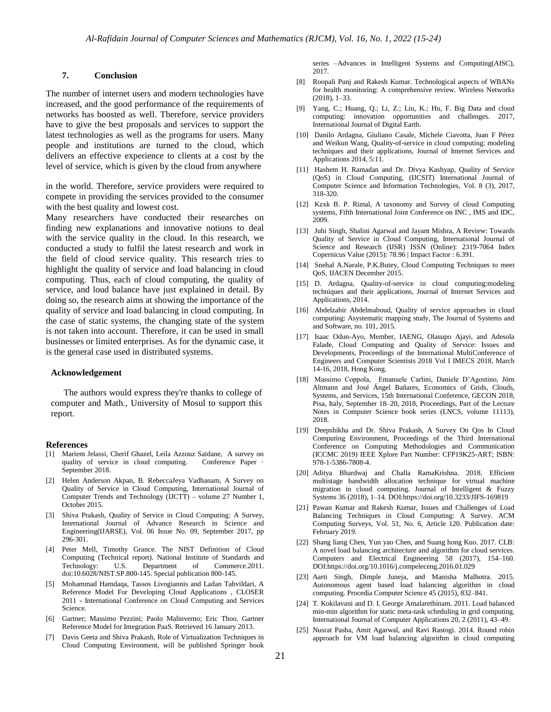### **7. Conclusion**

The number of internet users and modern technologies have increased, and the good performance of the requirements of networks has boosted as well. Therefore, service providers have to give the best proposals and services to support the latest technologies as well as the programs for users. Many people and institutions are turned to the cloud, which delivers an effective experience to clients at a cost by the level of service, which is given by the cloud from anywhere

in the world. Therefore, service providers were required to compete in providing the services provided to the consumer with the best quality and lowest cost.

Many researchers have conducted their researches on finding new explanations and innovative notions to deal with the service quality in the cloud. In this research, we conducted a study to fulfil the latest research and work in the field of cloud service quality. This research tries to highlight the quality of service and load balancing in cloud computing. Thus, each of cloud computing, the quality of service, and loud balance have just explained in detail. By doing so, the research aims at showing the importance of the quality of service and load balancing in cloud computing. In the case of static systems, the changing state of the system is not taken into account. Therefore, it can be used in small businesses or limited enterprises. As for the dynamic case, it is the general case used in distributed systems.

#### **Acknowledgement**

The authors would express they're thanks to college of computer and Math., University of Mosul to support this report.

#### **References**

- [1] Mariem Jelassi, Cherif Ghazel, Leila Azzouz Saïdane, A survey on quality of service in cloud computing. Conference Paper · September 2018.
- [2] Helen Anderson Akpan, B. RebeccaJeya Vadhanam, A Survey on Quality of Service in Cloud Computing, International Journal of Computer Trends and Technology (IJCTT) – volume 27 Number 1, October 2015.
- [3] Shiva Prakash, Quality of Service in Cloud Computing: A Survey, International Journal of Advance Research in Science and Engineering(IJARSE), Vol. 06 Issue No. 09, September 2017, pp 296-301.
- [4] Peter Mell, Timothy Grance. The NIST Definition of Cloud Computing (Technical report). National Institute of Standards and Technology: U.S. Department of Commerce.2011. doi:10.6028/NIST.SP.800-145. Special publication 800-145.
- [5] Mohammad Hamdaqa, Tassos Livogiannis and Ladan Tahvildari, A Reference Model For Developing Cloud Applications , CLOSER 2011 - International Conference on Cloud Computing and Services Science.
- [6] Gartner; Massimo Pezzini; Paolo Malinverno; Eric Thoo. Gartner Reference Model for Integration PaaS. Retrieved 16 January 2013.
- [7] Davis Geeta and Shiva Prakash, Role of Virtualization Techniques in Cloud Computing Environment, will be published Springer book

series –Advances in Intelligent Systems and Computing(AISC), 2017.

- [8] Roopali Punj and Rakesh Kumar. Technological aspects of WBANs for health monitoring: A comprehensive review. Wireless Networks (2018), 1–33.
- [9] Yang, C.; Huang, Q.; Li, Z.; Liu, K.; Hu, F. Big Data and cloud computing: innovation opportunities and challenges. 2017, International Journal of Digital Earth.
- [10] Danilo Ardagna, Giuliano Casale, Michele Ciavotta, Juan F Pérez and Weikun Wang, Quality-of-service in cloud computing: modeling techniques and their applications, Journal of Internet Services and Applications 2014, 5:11.
- [11] Hashem H. Ramadan and Dr. Divya Kashyap, Quality of Service (QoS) in Cloud Computing, (IJCSIT) International Journal of Computer Science and Information Technologies, Vol. 8 (3), 2017, 318-320.
- [12] Kzxk B. P. Rimal, A taxonomy and Survey of cloud Computing systems, Fifth International Joint Conference on INC , IMS and IDC, 2009.
- [13] Juhi Singh, Shalini Agarwal and Jayant Mishra, A Review: Towards Quality of Service in Cloud Computing, International Journal of Science and Research (IJSR) ISSN (Online): 2319-7064 Index Copernicus Value (2015): 78.96 | Impact Factor : 6.391.
- [14] Snehal A.Narale, P.K.Butey, Cloud Computing Techniques to meet QoS, IJACEN December 2015.
- [15] D. Ardagna, Quality-of-service in cloud computing:modeling techniques and their applications, Journal of Internet Services and Applications, 2014.
- [16] Abdelzahir Abdelmaboud, Quality of service approaches in cloud computing: Asystematic mapping study, The Journal of Systems and and Software, no. 101, 2015.
- [17] Isaac Odun-Ayo, Member, IAENG, Olasupo Ajayi, and Adesola Falade, Cloud Computing and Quality of Service: Issues and Developments, Proceedings of the International MultiConference of Engineers and Computer Scientists 2018 Vol I IMECS 2018, March 14-16, 2018, Hong Kong.
- [18] Massimo Coppola, Emanuele Carlini, Daniele D'Agostino, Jörn Altmann and José Ángel Bañares, Economics of Grids, Clouds, Systems, and Services, 15th International Conference, GECON 2018, Pisa, Italy, September 18–20, 2018, Proceedings, Part of the Lecture Notes in Computer Science book series (LNCS, volume 11113), 2018.
- [19] Deepshikha and Dr. Shiva Prakash, A Survey On Qos In Cloud Computing Environment, Proceedings of the Third International Conference on Computing Methodologies and Communication (ICCMC 2019) IEEE Xplore Part Number: CFP19K25-ART; ISBN: 978-1-5386-7808-4.
- [20] Aditya Bhardwaj and Challa RamaKrishna. 2018. Efficient multistage bandwidth allocation technique for virtual machine migration in cloud computing. Journal of Intelligent & Fuzzy Systems 36 (2018), 1–14. DOI:https://doi.org/10.3233/JIFS-169819
- [21] Pawan Kumar and Rakesh Kumar, Issues and Challenges of Load Balancing Techniques in Cloud Computing: A Survey. ACM Computing Surveys, Vol. 51, No. 6, Article 120. Publication date: February 2019.
- [22] Shang liang Chen, Yun yao Chen, and Suang hong Kuo. 2017. CLB: A novel load balancing architecture and algorithm for cloud services. Computers and Electrical Engineering 58 (2017), 154–160. DOI:https://doi.org/10.1016/j.compeleceng.2016.01.029
- [23] Aarti Singh, Dimple Juneja, and Manisha Malhotra. 2015. Autonomous agent based load balancing algorithm in cloud computing. Procedia Computer Science 45 (2015), 832–841.
- [24] T. Kokilavani and D. I. George Amalarethinam. 2011. Load balanced min-min algorithm for static meta-task scheduling in grid computing. International Journal of Computer Applications 20, 2 (2011), 43–49.
- [25] Nusrat Pasha, Amit Agarwal, and Ravi Rastogi. 2014. Round robin approach for VM load balancing algorithm in cloud computing